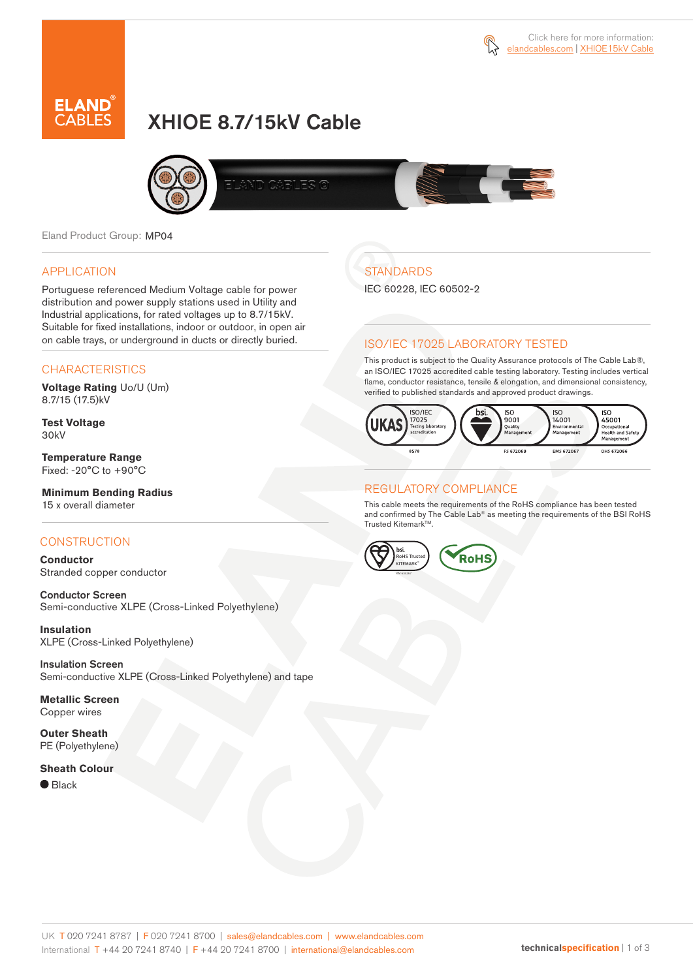



# XHIOE 8.7/15kV Cable



Eland Product Group: MP04

### APPLICATION

Portuguese referenced Medium Voltage cable for power distribution and power supply stations used in Utility and Industrial applications, for rated voltages up to 8.7/15kV. Suitable for fixed installations, indoor or outdoor, in open air on cable trays, or underground in ducts or directly buried.

### **CHARACTERISTICS**

**Voltage Rating** Uo/U (Um) 8.7/15 (17.5)kV

**Test Voltage** 30kV

**Temperature Range** Fixed: -20°C to +90°C

### **Minimum Bending Radius**

15 x overall diameter

### **CONSTRUCTION**

**Conductor** Stranded copper conductor

Conductor Screen Semi-conductive XLPE (Cross-Linked Polyethylene)

**Insulation** XLPE (Cross-Linked Polyethylene)

Insulation Screen Semi-conductive XLPE (Cross-Linked Polyethylene) and tape

**Metallic Screen** Copper wires

**Outer Sheath** PE (Polyethylene)

#### **Sheath Colour**

 $\bullet$  Black

# **STANDARDS**

IEC 60228, IEC 60502-2

### ISO/IEC 17025 LABORATORY TESTED

This product is subject to the Quality Assurance protocols of The Cable Lab®, an ISO/IEC 17025 accredited cable testing laboratory. Testing includes vertical flame, conductor resistance, tensile & elongation, and dimensional consistency, verified to published standards and approved product drawings.



### REGULATORY COMPLIANCE

This cable meets the requirements of the RoHS compliance has been tested and confirmed by The Cable Lab® as meeting the requirements of the BSI RoHS Trusted Kitemark™.

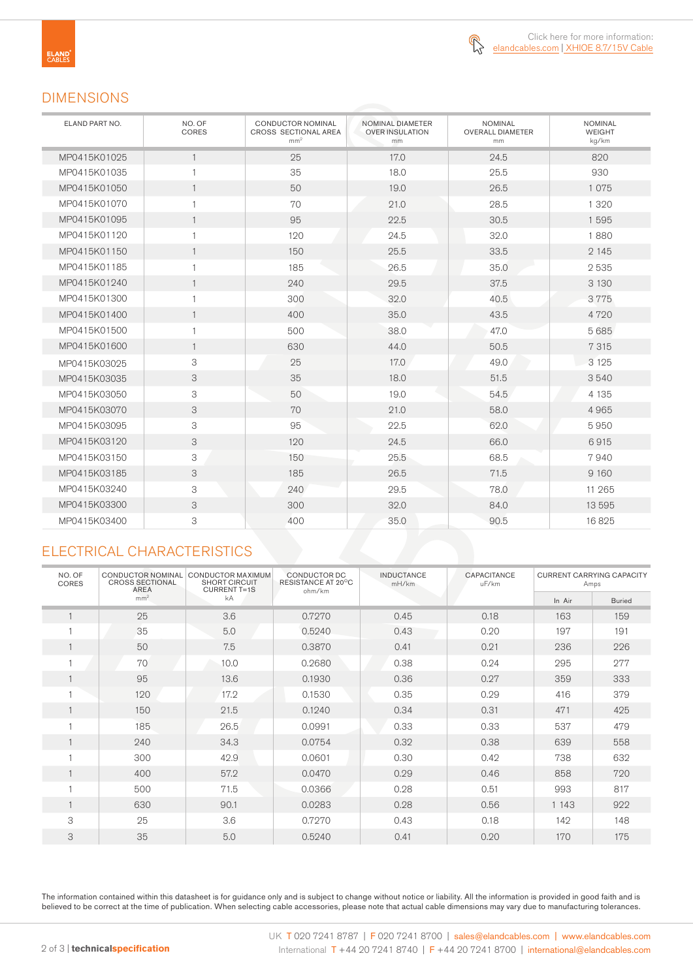

### DIMENSIONS

| ELAND PART NO. | NO. OF<br>CORES | <b>CONDUCTOR NOMINAL</b><br>CROSS SECTIONAL AREA<br>mm <sup>2</sup> | NOMINAL DIAMETER<br><b>OVER INSULATION</b><br>mm | <b>NOMINAL</b><br><b>OVERALL DIAMETER</b><br>mm | <b>NOMINAL</b><br><b>WEIGHT</b><br>kg/km |
|----------------|-----------------|---------------------------------------------------------------------|--------------------------------------------------|-------------------------------------------------|------------------------------------------|
| MP0415K01025   | $\mathbf{1}$    | 25                                                                  | 17.0                                             | 24.5                                            | 820                                      |
| MP0415K01035   | $\mathbf{1}$    | 35                                                                  | 18.0                                             | 25.5                                            | 930                                      |
| MP0415K01050   | $\mathbf{1}$    | 50                                                                  | 19.0                                             | 26.5                                            | 1075                                     |
| MP0415K01070   | $\mathbf{1}$    | 70                                                                  | 21.0                                             | 28.5                                            | 1 3 2 0                                  |
| MP0415K01095   | $\mathbf{1}$    | 95                                                                  | 22.5                                             | 30.5                                            | 1595                                     |
| MP0415K01120   | $\mathbf{1}$    | 120                                                                 | 24.5                                             | 32.0                                            | 1880                                     |
| MP0415K01150   | $\mathbf{1}$    | 150                                                                 | 25.5                                             | 33.5                                            | 2 1 4 5                                  |
| MP0415K01185   | $\mathbf{1}$    | 185                                                                 | 26.5                                             | 35.0                                            | 2535                                     |
| MP0415K01240   | $\mathbf{1}$    | 240                                                                 | 29.5                                             | 37.5                                            | 3 1 3 0                                  |
| MP0415K01300   | $\mathbf{1}$    | 300                                                                 | 32.0                                             | 40.5                                            | 3775                                     |
| MP0415K01400   | $\mathbf{1}$    | 400                                                                 | 35.0                                             | 43.5                                            | 4720                                     |
| MP0415K01500   | $\mathbf{1}$    | 500                                                                 | 38.0                                             | 47.0                                            | 5685                                     |
| MP0415K01600   | $\mathbf{1}$    | 630                                                                 | 44.0                                             | 50.5                                            | 7 3 1 5                                  |
| MP0415K03025   | 3               | 25                                                                  | 17.0                                             | 49.0                                            | 3 1 2 5                                  |
| MP0415K03035   | 3               | 35                                                                  | 18.0                                             | 51.5                                            | 3540                                     |
| MP0415K03050   | 3               | 50                                                                  | 19.0                                             | 54.5                                            | 4 1 3 5                                  |
| MP0415K03070   | 3               | 70                                                                  | 21.0                                             | 58.0                                            | 4965                                     |
| MP0415K03095   | 3               | 95                                                                  | 22.5                                             | 62.0                                            | 5950                                     |
| MP0415K03120   | 3               | 120                                                                 | 24.5                                             | 66.0                                            | 6915                                     |
| MP0415K03150   | 3               | 150                                                                 | 25.5                                             | 68.5                                            | 7940                                     |
| MP0415K03185   | 3               | 185                                                                 | 26.5                                             | 71.5                                            | 9 1 6 0                                  |
| MP0415K03240   | 3               | 240                                                                 | 29.5                                             | 78.0                                            | 11 265                                   |
| MP0415K03300   | 3               | 300                                                                 | 32.0                                             | 84.0                                            | 13 5 9 5                                 |
| MP0415K03400   | 3               | 400                                                                 | 35.0                                             | 90.5                                            | 16825                                    |

## ELECTRICAL CHARACTERISTICS

| NO. OF<br><b>CORES</b> | <b>CONDUCTOR NOMINAL</b><br><b>CROSS SECTIONAL</b><br>AREA | CONDUCTOR MAXIMUM<br><b>SHORT CIRCUIT</b><br><b>CURRENT T=1S</b> | CONDUCTOR DC<br>RESISTANCE AT 20°C<br>ohm/km | <b>INDUCTANCE</b><br>mH/km | CAPACITANCE<br>uF/km | <b>CURRENT CARRYING CAPACITY</b><br>Amps |               |
|------------------------|------------------------------------------------------------|------------------------------------------------------------------|----------------------------------------------|----------------------------|----------------------|------------------------------------------|---------------|
|                        | mm <sup>2</sup>                                            | kA                                                               |                                              |                            |                      | In Air                                   | <b>Buried</b> |
| $\mathbf{1}$           | 25                                                         | 3.6                                                              | 0.7270                                       | 0.45                       | 0.18                 | 163                                      | 159           |
|                        | 35                                                         | 5.0                                                              | 0.5240                                       | 0.43                       | 0.20                 | 197                                      | 191           |
| 1                      | 50                                                         | 7.5                                                              | 0.3870                                       | 0.41                       | 0.21                 | 236                                      | 226           |
|                        | 70                                                         | 10.0                                                             | 0.2680                                       | 0.38                       | 0.24                 | 295                                      | 277           |
| $\mathbf{1}$           | 95                                                         | 13.6                                                             | 0.1930                                       | 0.36                       | 0.27                 | 359                                      | 333           |
|                        | 120                                                        | 17.2                                                             | 0.1530                                       | 0.35                       | 0.29                 | 416                                      | 379           |
| $\mathbf{1}$           | 150                                                        | 21.5                                                             | 0.1240                                       | 0.34                       | 0.31                 | 471                                      | 425           |
| H                      | 185                                                        | 26.5                                                             | 0.0991                                       | 0.33                       | 0.33                 | 537                                      | 479           |
| 1                      | 240                                                        | 34.3                                                             | 0.0754                                       | 0.32                       | 0.38                 | 639                                      | 558           |
|                        | 300                                                        | 42.9                                                             | 0.0601                                       | 0.30                       | 0.42                 | 738                                      | 632           |
| 1                      | 400                                                        | 57.2                                                             | 0.0470                                       | 0.29                       | 0.46                 | 858                                      | 720           |
| и                      | 500                                                        | 71.5                                                             | 0.0366                                       | 0.28                       | 0.51                 | 993                                      | 817           |
| $\mathbf{1}$           | 630                                                        | 90.1                                                             | 0.0283                                       | 0.28                       | 0.56                 | 1 1 4 3                                  | 922           |
| 3                      | 25                                                         | 3.6                                                              | 0.7270                                       | 0.43                       | 0.18                 | 142                                      | 148           |
| 3                      | 35                                                         | 5.0                                                              | 0.5240                                       | 0.41                       | 0.20                 | 170                                      | 175           |

The information contained within this datasheet is for guidance only and is subject to change without notice or liability. All the information is provided in good faith and is believed to be correct at the time of publication. When selecting cable accessories, please note that actual cable dimensions may vary due to manufacturing tolerances.